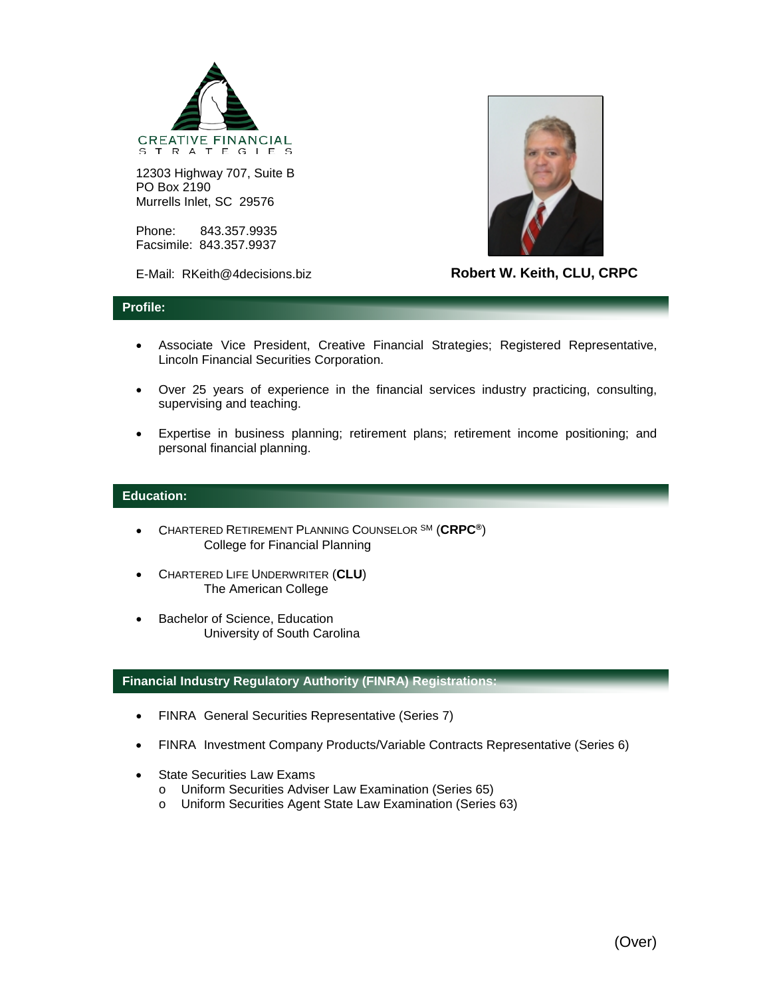

12303 Highway 707, Suite B PO Box 2190 Murrells Inlet, SC 29576

Phone: 843.357.9935 Facsimile: 843.357.9937

E-Mail: RKeith@4decisions.biz



**Robert W. Keith, CLU, CRPC**

## **Profile:**

- Associate Vice President, Creative Financial Strategies; Registered Representative, Lincoln Financial Securities Corporation.
- Over 25 years of experience in the financial services industry practicing, consulting, supervising and teaching.
- Expertise in business planning; retirement plans; retirement income positioning; and personal financial planning.

## **Education:**

- CHARTERED RETIREMENT PLANNING COUNSELOR SM (**CRPC®**) College for Financial Planning
- CHARTERED LIFE UNDERWRITER (**CLU**) The American College
- Bachelor of Science, Education University of South Carolina

## **Financial Industry Regulatory Authority (FINRA) Registrations:**

- FINRA General Securities Representative (Series 7)
- FINRA Investment Company Products/Variable Contracts Representative (Series 6)
- State Securities Law Exams
	- o Uniform Securities Adviser Law Examination (Series 65)
	- o Uniform Securities Agent State Law Examination (Series 63)